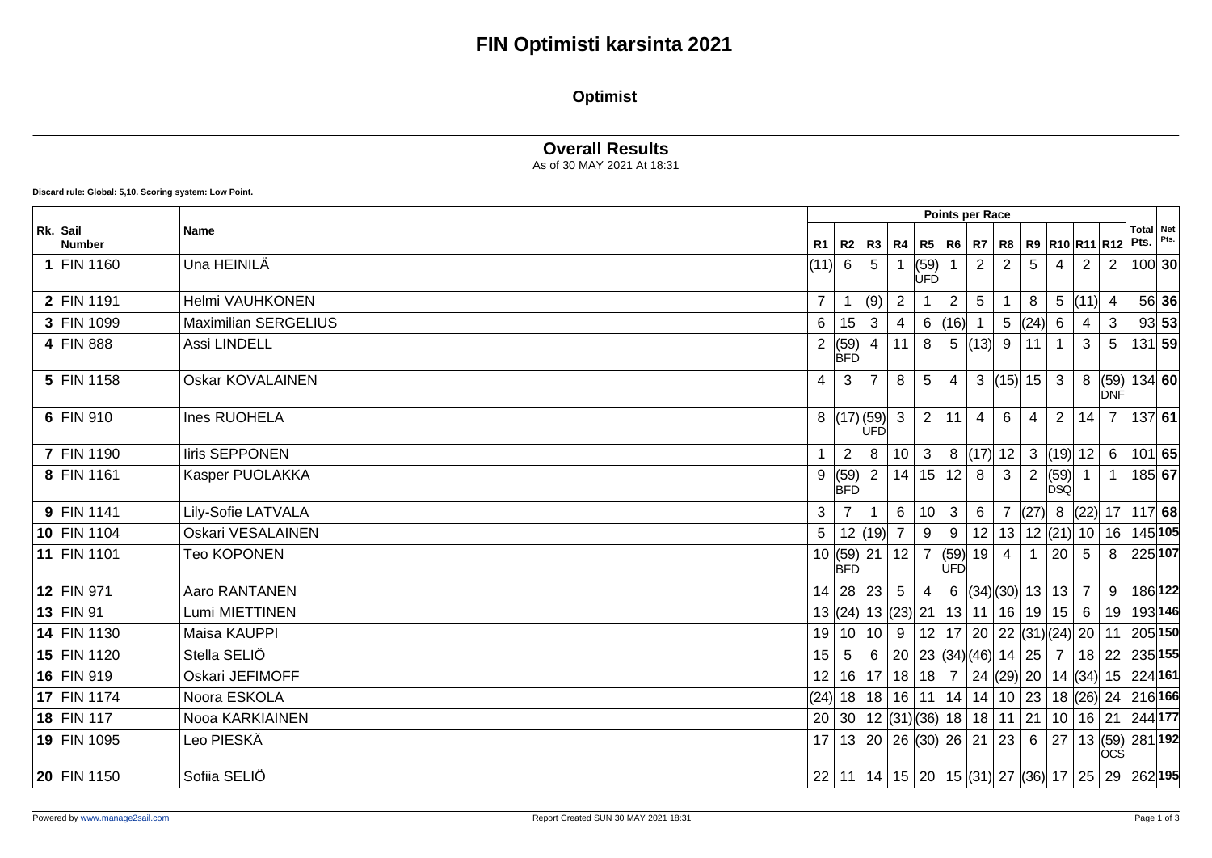#### **Optimist**

### **Overall Results**

As of 30 MAY 2021 At 18:31

**Discard rule: Global: 5,10. Scoring system: Low Point.**

|                           |                             | Points per Race  |                         |                 |                |                    |                    |                |                              |                |                    |                   |                |                                                                        |       |
|---------------------------|-----------------------------|------------------|-------------------------|-----------------|----------------|--------------------|--------------------|----------------|------------------------------|----------------|--------------------|-------------------|----------------|------------------------------------------------------------------------|-------|
| Rk. Sail<br><b>Number</b> | <b>Name</b>                 | R <sub>1</sub>   | R2                      | R3   R4         |                | R5                 | <b>R6</b>          |                | R7   R8   R9  R10  R11  R12  |                |                    |                   |                | Total Net<br>Pts.                                                      | Pts.  |
| $1$ FIN 1160              | Una HEINILÄ                 | (11)             | 6                       | 5               |                | (59)<br><b>ÚFD</b> |                    | $\overline{2}$ | $\overline{2}$               | 5              | 4                  | $\overline{2}$    | 2              | 100 30                                                                 |       |
| $2$ FIN 1191              | Helmi VAUHKONEN             | $\overline{7}$   |                         | (9)             | $\overline{2}$ |                    | $\overline{2}$     | $\overline{5}$ |                              | 8              | $5\phantom{.0}$    | (11)              | $\overline{4}$ |                                                                        | 56 36 |
| 3 FIN 1099                | <b>Maximilian SERGELIUS</b> | 6                | 15                      | 3               | 4              | 6                  | (16)               |                | 5                            | (24)           | 6                  |                   | 3              |                                                                        | 93 53 |
| $4$ FIN 888               | Assi LINDELL                | 2                | (59)<br><b>BFD</b>      |                 | 11             | 8                  | $5\phantom{.0}$    | (13)           | 9                            | 11             |                    | 3                 | 5              | 131 59                                                                 |       |
| $5$ FIN 1158              | <b>Oskar KOVALAINEN</b>     | $\overline{4}$   | 3                       |                 | 8              | -5                 | $\overline{4}$     |                | 3  (15)  15                  |                | $\mathbf{3}$       |                   | DNF            | 8 $(59) 134 60$                                                        |       |
| $6$ FIN 910               | Ines RUOHELA                |                  | 8  (17) (59)            | ÙFĎ             | $\mathbf{3}$   | $\overline{2}$     | 11                 | $\overline{4}$ | 6                            | 4              | 2                  | 14                | $\overline{7}$ | 137 61                                                                 |       |
| <b>7 FIN 1190</b>         | liris SEPPONEN              |                  | 2                       | 8               | $10 \mid 3$    |                    | 8                  | (17)           | 12                           | $\mathbf{3}$   |                    | (19) 12           | 6              | 101 65                                                                 |       |
| 8 FIN 1161                | Kasper PUOLAKKA             | 9                | (59)<br><b>BFD</b>      | $\overline{2}$  | 14 15 12       |                    |                    | 8              | 3                            | $\overline{2}$ | (59)<br><b>DSQ</b> |                   | $\overline{1}$ | 185 67                                                                 |       |
| $9$ FIN 1141              | Lily-Sofie LATVALA          | 3                |                         |                 | 6              | 10                 | 3                  | 6              |                              | (27)           |                    |                   |                | 8 $ (22) $ 17   117   68                                               |       |
| 10 FIN 1104               | Oskari VESALAINEN           | $5\overline{)}$  |                         | 12  (19)        | $\overline{7}$ | 9                  | 9                  | 12             | 13                           |                |                    | $12$ (21) $10$ 16 |                | 145 105                                                                |       |
| 11 FIN 1101               | <b>Teo KOPONEN</b>          |                  | 10   (59)<br><b>BFD</b> | $21$   12   7   |                |                    | (59)<br><b>ÚFD</b> | 19             | 4                            |                | 20                 | 5                 | 8              | 225 107                                                                |       |
| 12 FIN 971                | Aaro RANTANEN               | 14               | 28 23                   |                 | $\sqrt{5}$     | $\overline{4}$     |                    |                | 6 $ (34)(30)  13   13 $      |                |                    |                   | 9              | 186 122                                                                |       |
| $13$ FIN 91               | Lumi MIETTINEN              |                  | 13   (24)               |                 | 13  (23)  21   |                    | 13                 | 11             |                              |                | 16 19 15           | $6\overline{6}$   | 19             | 193146                                                                 |       |
| 14 FIN 1130               | Maisa KAUPPI                | 19               | 10                      | 10              | 9              |                    | 12 17              |                | 20 22 (31) (24) 20           |                |                    |                   | 11             | 205 150                                                                |       |
| 15 FIN 1120               | Stella SELIÖ                | 15 <sub>15</sub> | 5                       | $6\overline{6}$ |                |                    |                    |                | 20   23 $ (34)(46) $ 14   25 |                | $\overline{7}$     |                   |                | 18 22 235 155                                                          |       |
| 16 FIN 919                | Oskari JEFIMOFF             | 12 <sup>2</sup>  | 16                      | 17 <sup>1</sup> | 18 18          |                    | $\overline{7}$     |                |                              |                |                    |                   |                | 24 (29) 20   14 (34) 15   224 161                                      |       |
| $17$ FIN 1174             | Noora ESKOLA                |                  | (24) 18                 |                 |                |                    | 18 16 11 14        |                |                              |                |                    |                   |                | <sup>∣</sup> 14   10   23   18  (26)  24   216∣ <b>166</b>             |       |
| 18 FIN 117                | Nooa KARKIAINEN             | 20               | 30                      |                 |                |                    |                    |                | $12$ (31) (36) 18 18 11 21   |                |                    |                   |                | 10 16 21 244 177                                                       |       |
| 19 FIN 1095               | Leo PIESKÄ                  |                  | 17 13 20 26 30 26 21 23 |                 |                |                    |                    |                |                              | 6              | 27                 |                   | locsl          | 13 (59) 281 192                                                        |       |
| 20 FIN 1150               | Sofiia SELIÖ                | 22               |                         |                 |                |                    |                    |                |                              |                |                    |                   |                | 11   14   15   20   15  (31)  27  (36)  17   25   29   262  <b>195</b> |       |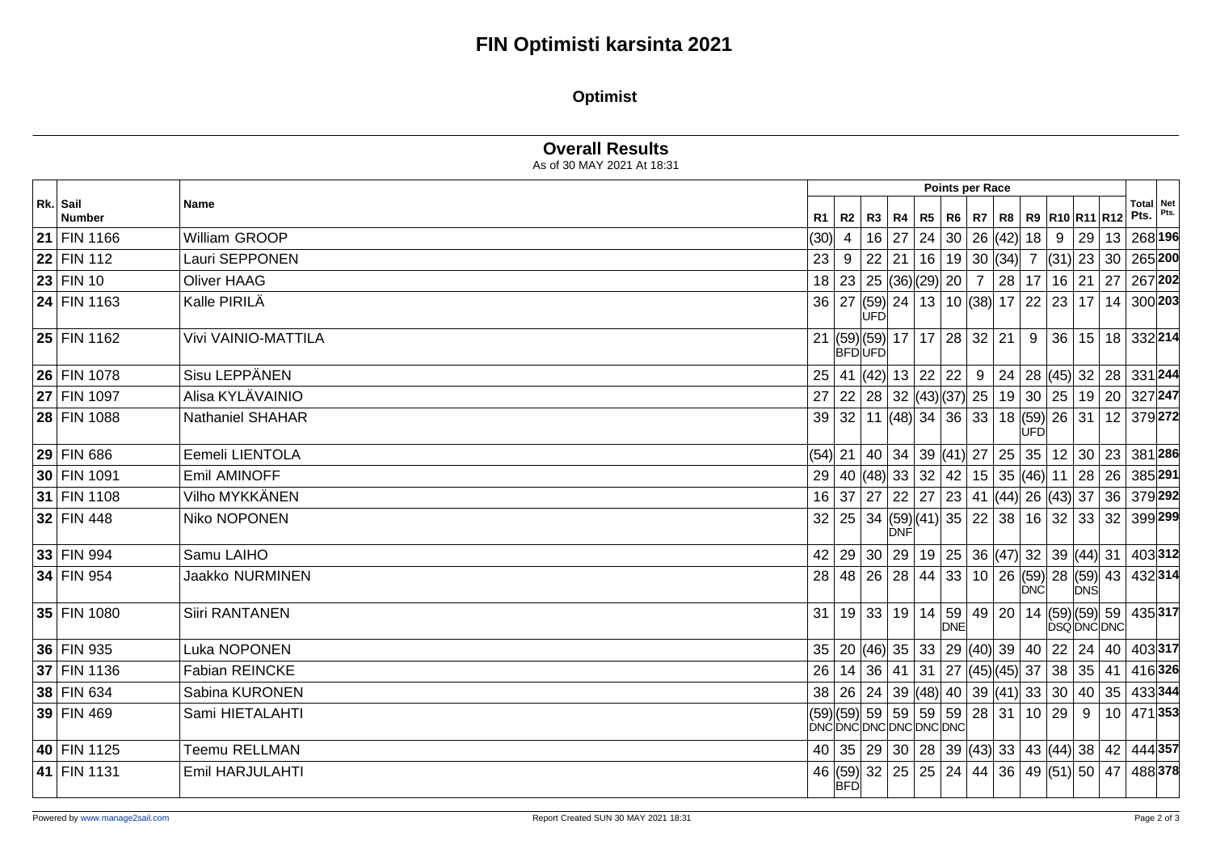# **FIN Optimisti karsinta 2021**

### **Optimist**

|                           |                         | <b>Overall Results</b><br>As of 30 MAY 2021 At 18:31 |                 |                                              |     |  |                     |                                   |                  |            |            |                                                                                          |                                                                      |                          |      |
|---------------------------|-------------------------|------------------------------------------------------|-----------------|----------------------------------------------|-----|--|---------------------|-----------------------------------|------------------|------------|------------|------------------------------------------------------------------------------------------|----------------------------------------------------------------------|--------------------------|------|
|                           |                         |                                                      | Points per Race |                                              |     |  |                     |                                   |                  |            |            |                                                                                          |                                                                      |                          |      |
| Rk. Sail<br><b>Number</b> | <b>Name</b>             |                                                      | $R1$ R2         |                                              |     |  |                     |                                   |                  |            |            |                                                                                          | R3   R4   R5   R6   R7   R8   R9   R10   R11   R12                   | <b>Total Net</b><br>Pts. | Pts. |
| 21 FIN 1166               | William GROOP           | (30)                                                 | $\overline{4}$  |                                              |     |  | $16$   27   24   30 |                                   | 26 (42)          | 18         | 9          |                                                                                          | 29   13   268 196                                                    |                          |      |
| 22 FIN 112                | Lauri SEPPONEN          | 23                                                   | 9               | 22 21                                        |     |  |                     | 16 19 30 (34)                     |                  |            |            |                                                                                          | 7 (31) 23 30 265 200                                                 |                          |      |
| 23 FIN 10                 | <b>Oliver HAAG</b>      |                                                      |                 | 18 23 25 $(36)(29)$ 20                       |     |  |                     |                                   | 7 28             | 17         | 16 21      |                                                                                          | 27                                                                   | 267 202                  |      |
| 24 FIN 1163               | Kalle PIRILÄ            | 36 27                                                |                 | <b>UFD</b>                                   |     |  |                     |                                   |                  |            |            | $ (59) $ 24   13   10 $ (38) $ 17   22   23   17                                         |                                                                      | 14   300 <b>203</b>      |      |
| $25$ FIN 1162             | Vivi VAINIO-MATTILA     |                                                      | <b>BFDUFD</b>   | 21 (59)(59) 17   17   28   32   21           |     |  |                     |                                   |                  | 9          |            |                                                                                          | 36   15   18   332  <b>214</b>                                       |                          |      |
| 26 FIN 1078               | Sisu LEPPÄNEN           | 25                                                   |                 | $ 41 $ (42) 13 22 22                         |     |  |                     |                                   |                  |            |            |                                                                                          | $9 \mid 24 \mid 28 \mid (45) \mid 32 \mid 28 \mid 331 \mid 244$      |                          |      |
| 27 FIN 1097               | Alisa KYLÄVAINIO        | 27                                                   |                 | $22   28   32   (43)   (37)   25   19  $     |     |  |                     |                                   |                  |            |            |                                                                                          | 30 25 19 20 327 247                                                  |                          |      |
| 28 FIN 1088               | <b>Nathaniel SHAHAR</b> |                                                      | 39 32           |                                              |     |  |                     | 11 $ (48)$ 34 36 33 18 (59) 26 31 |                  | <b>ÚFD</b> |            |                                                                                          |                                                                      | 12 379 272               |      |
| $29$ FIN 686              | Eemeli LIENTOLA         |                                                      |                 |                                              |     |  |                     |                                   |                  |            |            | (54)  21   40   34   39  (41)  27   25   35   12   30                                    |                                                                      | 23 381 286               |      |
| 30 FIN 1091               | Emil AMINOFF            | 29                                                   |                 | 40 (48) 33 32                                |     |  | 42                  |                                   | 15 35 (46) 11 28 |            |            |                                                                                          |                                                                      | 26 385 291               |      |
| 31 FIN 1108               | Vilho MYKKÄNEN          |                                                      | 16 37           | 27 22 27                                     |     |  |                     | 23   41  (44)  26  (43)  37       |                  |            |            |                                                                                          | 36                                                                   | 379292                   |      |
| 32 FIN 448                | Niko NOPONEN            | 32                                                   |                 | 25 34 (59) (41) 35                           | DNF |  |                     |                                   | 22 38            |            | $16$ 32 33 |                                                                                          | 32                                                                   | 399299                   |      |
| 33 FIN 994                | Samu LAIHO              |                                                      |                 |                                              |     |  |                     |                                   |                  |            |            |                                                                                          | 42   29   30   29   19   25   36  (47)  32   39  (44)  31   403  312 |                          |      |
| 34 FIN 954                | Jaakko NURMINEN         |                                                      | 28 48           | 26 28 44 33                                  |     |  |                     |                                   |                  | <b>DNC</b> |            | DNS                                                                                      | 10   26  (59)  28  (59)  43   432  314                               |                          |      |
| 35 FIN 1080               | Siiri RANTANEN          |                                                      |                 | 31   19   33   19   14   59   49   20        |     |  | <b>DNE</b>          |                                   |                  |            |            |                                                                                          | 14 (59)(59) 59 435 317<br><b>DSQDNCDNC</b>                           |                          |      |
| 36 FIN 935                | Luka NOPONEN            |                                                      |                 | 35   20 $ (46)$ 35   33   29 $ (40)$ 39   40 |     |  |                     |                                   |                  |            |            | $22$ 24                                                                                  |                                                                      | 40   403 317             |      |
| 37 FIN 1136               | <b>Fabian REINCKE</b>   | 26                                                   | 14              | 36 41                                        |     |  |                     |                                   |                  |            |            | $\vert$ 31 $\vert$ 27 $\vert$ (45) $\vert$ (45) $\vert$ 37 $\vert$ 38 $\vert$ 35 $\vert$ | 41                                                                   | 416326                   |      |
| 38 FIN 634                | Sabina KURONEN          |                                                      |                 |                                              |     |  |                     |                                   |                  |            |            |                                                                                          | 38 26 24 39 (48) 40 39 (41) 33 30 40 35 433 344                      |                          |      |
| 39 FIN 469                | Sami HIETALAHTI         | DNC DNC DNC DNC DNC DNC                              |                 | (59) (59) 59   59   59   59                  |     |  |                     |                                   | 28 31            |            | 10 29      | -9                                                                                       |                                                                      | 10 471 353               |      |
| 40 FIN 1125               | <b>Teemu RELLMAN</b>    |                                                      |                 |                                              |     |  |                     |                                   |                  |            |            |                                                                                          | 40 35 29 30 28 39 43 34 43 44 38 42 444 357                          |                          |      |
| 41 FIN 1131               | Emil HARJULAHTI         |                                                      | <b>BFD</b>      | 46 (59) 32 25 25 24                          |     |  |                     |                                   | 44 36            |            |            | 49 (51) 50                                                                               | 47                                                                   | 488378                   |      |